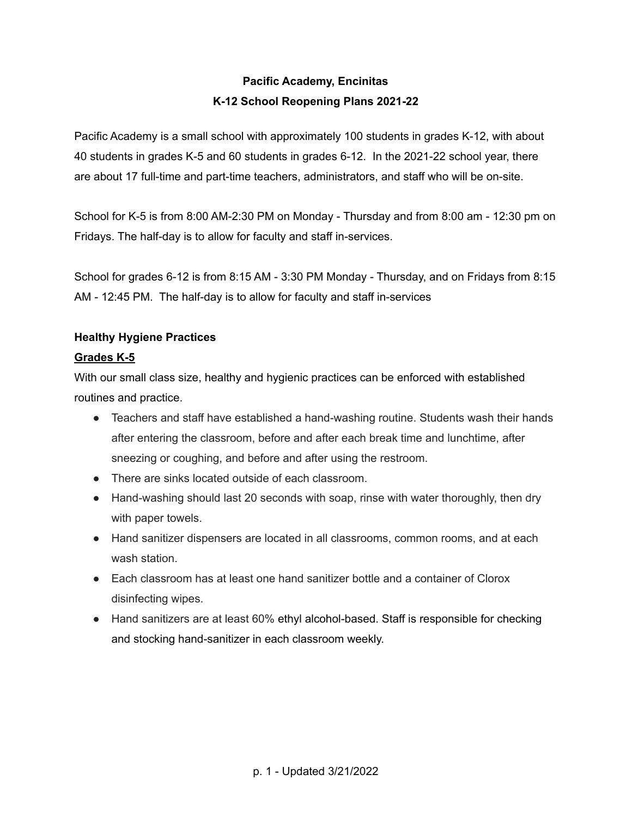# **Pacific Academy, Encinitas K-12 School Reopening Plans 2021-22**

Pacific Academy is a small school with approximately 100 students in grades K-12, with about 40 students in grades K-5 and 60 students in grades 6-12. In the 2021-22 school year, there are about 17 full-time and part-time teachers, administrators, and staff who will be on-site.

School for K-5 is from 8:00 AM-2:30 PM on Monday - Thursday and from 8:00 am - 12:30 pm on Fridays. The half-day is to allow for faculty and staff in-services.

School for grades 6-12 is from 8:15 AM - 3:30 PM Monday - Thursday, and on Fridays from 8:15 AM - 12:45 PM. The half-day is to allow for faculty and staff in-services

# **Healthy Hygiene Practices**

# **Grades K-5**

With our small class size, healthy and hygienic practices can be enforced with established routines and practice.

- Teachers and staff have established a hand-washing routine. Students wash their hands after entering the classroom, before and after each break time and lunchtime, after sneezing or coughing, and before and after using the restroom.
- There are sinks located outside of each classroom.
- Hand-washing should last 20 seconds with soap, rinse with water thoroughly, then dry with paper towels.
- Hand sanitizer dispensers are located in all classrooms, common rooms, and at each wash station.
- Each classroom has at least one hand sanitizer bottle and a container of Clorox disinfecting wipes.
- Hand sanitizers are at least 60% ethyl alcohol-based. Staff is responsible for checking and stocking hand-sanitizer in each classroom weekly.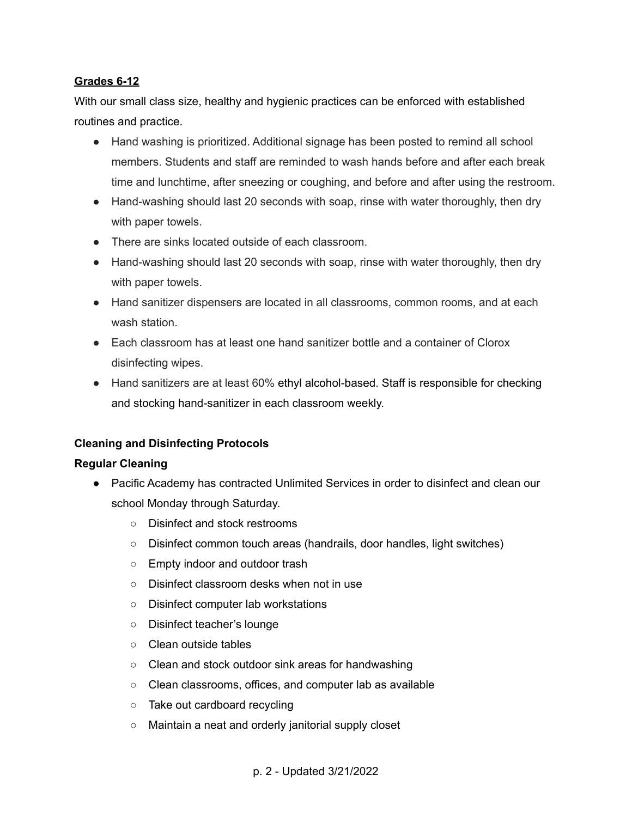#### **Grades 6-12**

With our small class size, healthy and hygienic practices can be enforced with established routines and practice.

- Hand washing is prioritized. Additional signage has been posted to remind all school members. Students and staff are reminded to wash hands before and after each break time and lunchtime, after sneezing or coughing, and before and after using the restroom.
- Hand-washing should last 20 seconds with soap, rinse with water thoroughly, then dry with paper towels.
- There are sinks located outside of each classroom.
- Hand-washing should last 20 seconds with soap, rinse with water thoroughly, then dry with paper towels.
- Hand sanitizer dispensers are located in all classrooms, common rooms, and at each wash station.
- Each classroom has at least one hand sanitizer bottle and a container of Clorox disinfecting wipes.
- Hand sanitizers are at least 60% ethyl alcohol-based. Staff is responsible for checking and stocking hand-sanitizer in each classroom weekly.

## **Cleaning and Disinfecting Protocols**

#### **Regular Cleaning**

- Pacific Academy has contracted Unlimited Services in order to disinfect and clean our school Monday through Saturday.
	- Disinfect and stock restrooms
	- Disinfect common touch areas (handrails, door handles, light switches)
	- Empty indoor and outdoor trash
	- Disinfect classroom desks when not in use
	- Disinfect computer lab workstations
	- Disinfect teacher's lounge
	- Clean outside tables
	- Clean and stock outdoor sink areas for handwashing
	- Clean classrooms, offices, and computer lab as available
	- Take out cardboard recycling
	- Maintain a neat and orderly janitorial supply closet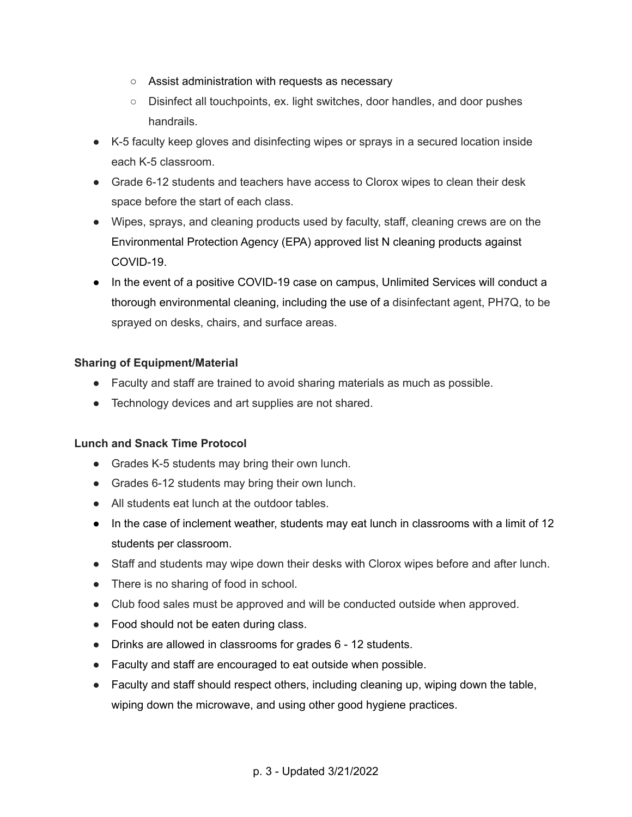- Assist administration with requests as necessary
- Disinfect all touchpoints, ex. light switches, door handles, and door pushes handrails.
- K-5 faculty keep gloves and disinfecting wipes or sprays in a secured location inside each K-5 classroom.
- Grade 6-12 students and teachers have access to Clorox wipes to clean their desk space before the start of each class.
- Wipes, sprays, and cleaning products used by faculty, staff, cleaning crews are on the Environmental Protection Agency (EPA) approved list N cleaning products against COVID-19.
- In the event of a positive COVID-19 case on campus, Unlimited Services will conduct a thorough environmental cleaning, including the use of a disinfectant agent, PH7Q, to be sprayed on desks, chairs, and surface areas.

#### **Sharing of Equipment/Material**

- Faculty and staff are trained to avoid sharing materials as much as possible.
- Technology devices and art supplies are not shared.

## **Lunch and Snack Time Protocol**

- Grades K-5 students may bring their own lunch.
- Grades 6-12 students may bring their own lunch.
- All students eat lunch at the outdoor tables.
- In the case of inclement weather, students may eat lunch in classrooms with a limit of 12 students per classroom.
- Staff and students may wipe down their desks with Clorox wipes before and after lunch.
- There is no sharing of food in school.
- Club food sales must be approved and will be conducted outside when approved.
- Food should not be eaten during class.
- Drinks are allowed in classrooms for grades 6 12 students.
- Faculty and staff are encouraged to eat outside when possible.
- Faculty and staff should respect others, including cleaning up, wiping down the table, wiping down the microwave, and using other good hygiene practices.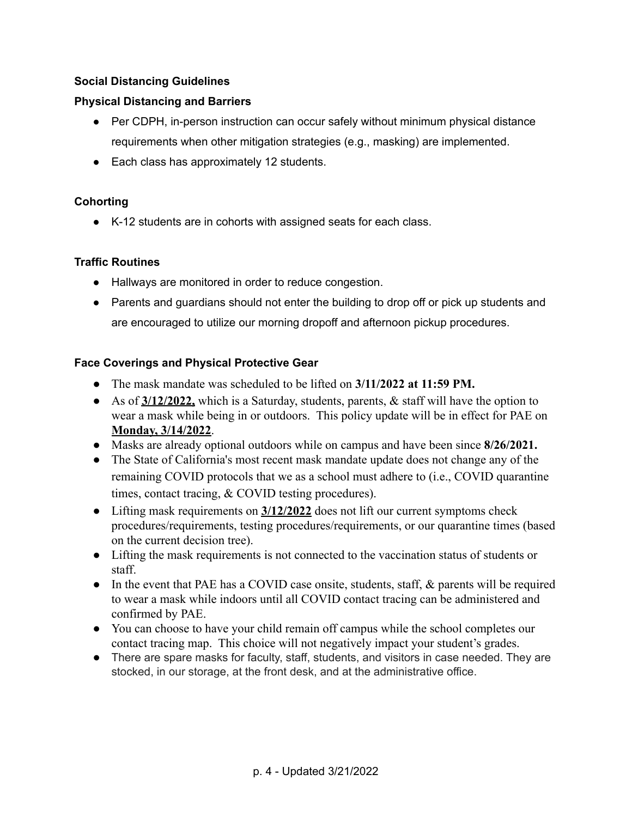## **Social Distancing Guidelines**

# **Physical Distancing and Barriers**

- Per CDPH, in-person instruction can occur safely without minimum physical distance requirements when other mitigation strategies (e.g., masking) are implemented.
- Each class has approximately 12 students.

## **Cohorting**

● K-12 students are in cohorts with assigned seats for each class.

## **Traffic Routines**

- Hallways are monitored in order to reduce congestion.
- Parents and guardians should not enter the building to drop off or pick up students and are encouraged to utilize our morning dropoff and afternoon pickup procedures.

# **Face Coverings and Physical Protective Gear**

- The mask mandate was scheduled to be lifted on **3/11/2022 at 11:59 PM.**
- As of **3/12/2022,** which is a Saturday, students, parents, & staff will have the option to wear a mask while being in or outdoors. This policy update will be in effect for PAE on **Monday, 3/14/2022**.
- Masks are already optional outdoors while on campus and have been since **8/26/2021.**
- The State of California's most recent mask mandate update does not change any of the remaining COVID protocols that we as a school must adhere to (i.e., COVID quarantine times, contact tracing, & COVID testing procedures).
- Lifting mask requirements on  $\frac{3}{12/2022}$  does not lift our current symptoms check procedures/requirements, testing procedures/requirements, or our quarantine times (based on the current decision tree).
- Lifting the mask requirements is not connected to the vaccination status of students or staff.
- In the event that PAE has a COVID case onsite, students, staff, & parents will be required to wear a mask while indoors until all COVID contact tracing can be administered and confirmed by PAE.
- You can choose to have your child remain off campus while the school completes our contact tracing map. This choice will not negatively impact your student's grades.
- There are spare masks for faculty, staff, students, and visitors in case needed. They are stocked, in our storage, at the front desk, and at the administrative office.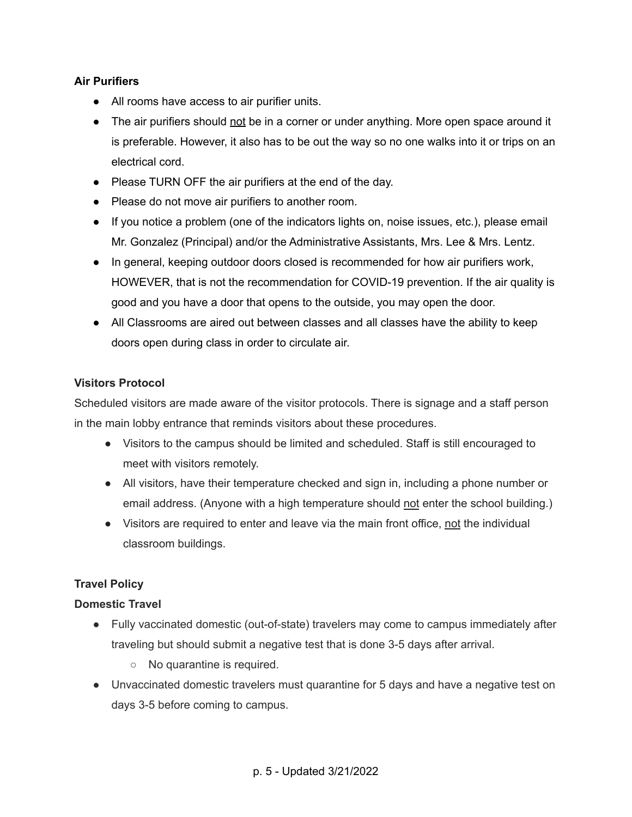### **Air Purifiers**

- All rooms have access to air purifier units.
- The air purifiers should not be in a corner or under anything. More open space around it is preferable. However, it also has to be out the way so no one walks into it or trips on an electrical cord.
- Please TURN OFF the air purifiers at the end of the day.
- Please do not move air purifiers to another room.
- If you notice a problem (one of the indicators lights on, noise issues, etc.), please email Mr. Gonzalez (Principal) and/or the Administrative Assistants, Mrs. Lee & Mrs. Lentz.
- In general, keeping outdoor doors closed is recommended for how air purifiers work, HOWEVER, that is not the recommendation for COVID-19 prevention. If the air quality is good and you have a door that opens to the outside, you may open the door.
- All Classrooms are aired out between classes and all classes have the ability to keep doors open during class in order to circulate air.

## **Visitors Protocol**

Scheduled visitors are made aware of the visitor protocols. There is signage and a staff person in the main lobby entrance that reminds visitors about these procedures.

- Visitors to the campus should be limited and scheduled. Staff is still encouraged to meet with visitors remotely.
- All visitors, have their temperature checked and sign in, including a phone number or email address. (Anyone with a high temperature should not enter the school building.)
- Visitors are required to enter and leave via the main front office, not the individual classroom buildings.

## **Travel Policy**

#### **Domestic Travel**

- Fully vaccinated domestic (out-of-state) travelers may come to campus immediately after traveling but should submit a negative test that is done 3-5 days after arrival.
	- No quarantine is required.
- Unvaccinated domestic travelers must quarantine for 5 days and have a negative test on days 3-5 before coming to campus.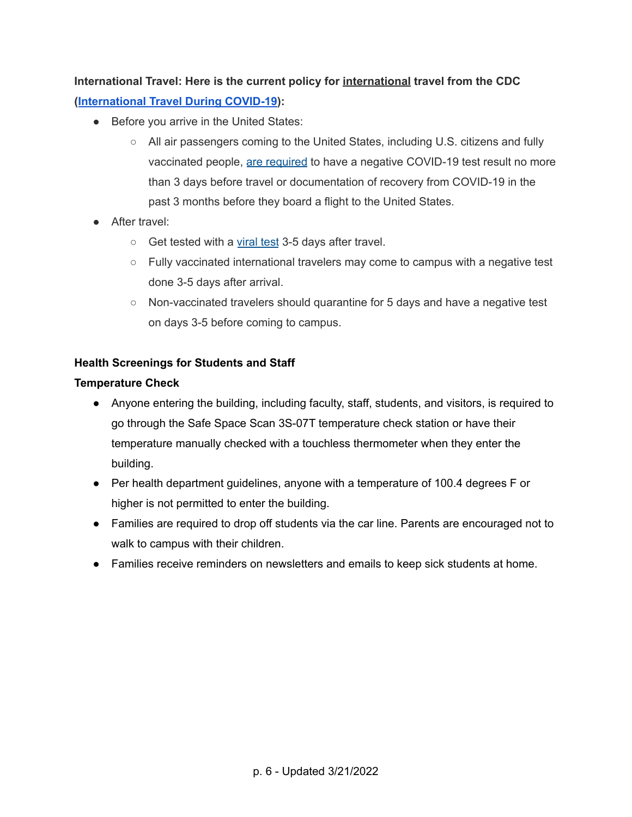# **International Travel: Here is the current policy for international travel from the CDC ([International](https://www.cdc.gov/coronavirus/2019-ncov/travelers/international-travel-during-covid19.html) Travel During COVID-19):**

- Before you arrive in the United States:
	- All air passengers coming to the United States, including U.S. citizens and fully vaccinated people, are [required](https://www.cdc.gov/coronavirus/2019-ncov/travelers/testing-international-air-travelers.html) to have a negative COVID-19 test result no more than 3 days before travel or documentation of recovery from COVID-19 in the past 3 months before they board a flight to the United States.
- After travel:
	- Get tested with a [viral](https://www.cdc.gov/coronavirus/2019-ncov/testing/diagnostic-testing.html) test 3-5 days after travel.
	- Fully vaccinated international travelers may come to campus with a negative test done 3-5 days after arrival.
	- Non-vaccinated travelers should quarantine for 5 days and have a negative test on days 3-5 before coming to campus.

#### **Health Screenings for Students and Staff**

#### **Temperature Check**

- Anyone entering the building, including faculty, staff, students, and visitors, is required to go through the Safe Space Scan 3S-07T temperature check station or have their temperature manually checked with a touchless thermometer when they enter the building.
- Per health department guidelines, anyone with a temperature of 100.4 degrees F or higher is not permitted to enter the building.
- Families are required to drop off students via the car line. Parents are encouraged not to walk to campus with their children.
- Families receive reminders on newsletters and emails to keep sick students at home.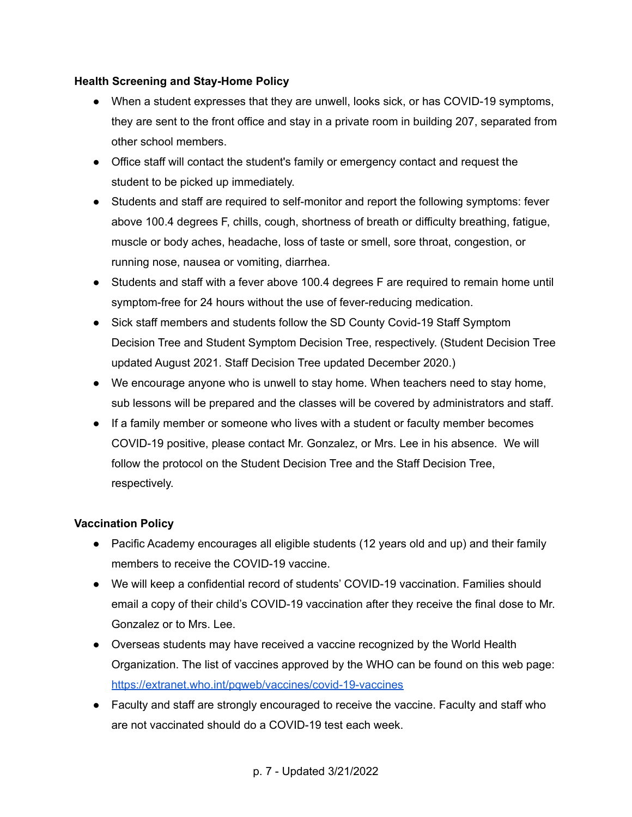#### **Health Screening and Stay-Home Policy**

- When a student expresses that they are unwell, looks sick, or has COVID-19 symptoms, they are sent to the front office and stay in a private room in building 207, separated from other school members.
- Office staff will contact the student's family or emergency contact and request the student to be picked up immediately.
- Students and staff are required to self-monitor and report the following symptoms: fever above 100.4 degrees F, chills, cough, shortness of breath or difficulty breathing, fatigue, muscle or body aches, headache, loss of taste or smell, sore throat, congestion, or running nose, nausea or vomiting, diarrhea.
- Students and staff with a fever above 100.4 degrees F are required to remain home until symptom-free for 24 hours without the use of fever-reducing medication.
- Sick staff members and students follow the SD County Covid-19 Staff Symptom Decision Tree and Student Symptom Decision Tree, respectively. (Student Decision Tree updated August 2021. Staff Decision Tree updated December 2020.)
- We encourage anyone who is unwell to stay home. When teachers need to stay home, sub lessons will be prepared and the classes will be covered by administrators and staff.
- If a family member or someone who lives with a student or faculty member becomes COVID-19 positive, please contact Mr. Gonzalez, or Mrs. Lee in his absence. We will follow the protocol on the Student Decision Tree and the Staff Decision Tree, respectively.

## **Vaccination Policy**

- Pacific Academy encourages all eligible students (12 years old and up) and their family members to receive the COVID-19 vaccine.
- We will keep a confidential record of students' COVID-19 vaccination. Families should email a copy of their child's COVID-19 vaccination after they receive the final dose to Mr. Gonzalez or to Mrs. Lee.
- Overseas students may have received a vaccine recognized by the World Health Organization. The list of vaccines approved by the WHO can be found on this web page: <https://extranet.who.int/pqweb/vaccines/covid-19-vaccines>
- Faculty and staff are strongly encouraged to receive the vaccine. Faculty and staff who are not vaccinated should do a COVID-19 test each week.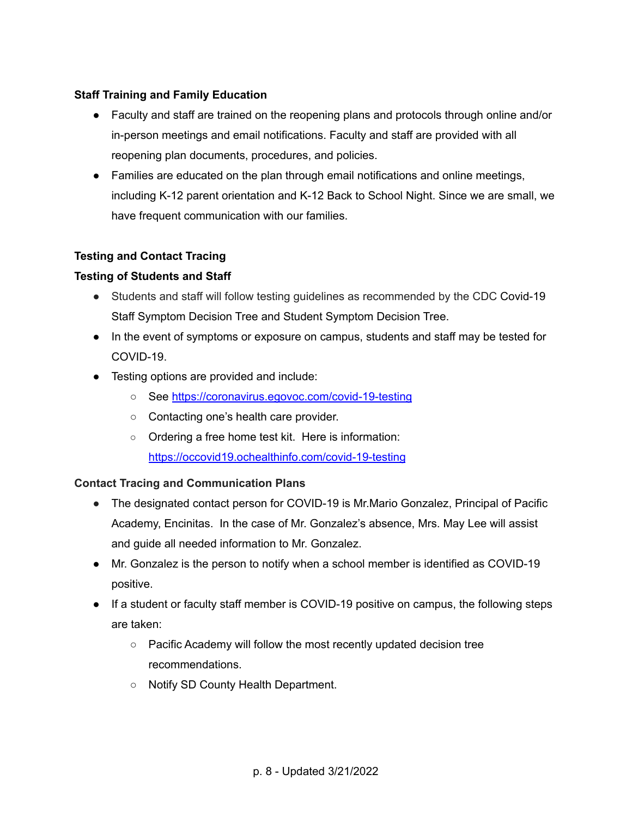### **Staff Training and Family Education**

- Faculty and staff are trained on the reopening plans and protocols through online and/or in-person meetings and email notifications. Faculty and staff are provided with all reopening plan documents, procedures, and policies.
- Families are educated on the plan through email notifications and online meetings, including K-12 parent orientation and K-12 Back to School Night. Since we are small, we have frequent communication with our families.

#### **Testing and Contact Tracing**

#### **Testing of Students and Staff**

- Students and staff will follow testing quidelines as recommended by the CDC Covid-19 Staff Symptom Decision Tree and Student Symptom Decision Tree.
- In the event of symptoms or exposure on campus, students and staff may be tested for COVID-19.
- Testing options are provided and include:
	- See <https://coronavirus.egovoc.com/covid-19-testing>
	- Contacting one's health care provider.
	- Ordering a free home test kit. Here is information: <https://occovid19.ochealthinfo.com/covid-19-testing>

#### **Contact Tracing and Communication Plans**

- The designated contact person for COVID-19 is Mr. Mario Gonzalez, Principal of Pacific Academy, Encinitas. In the case of Mr. Gonzalez's absence, Mrs. May Lee will assist and guide all needed information to Mr. Gonzalez.
- Mr. Gonzalez is the person to notify when a school member is identified as COVID-19 positive.
- If a student or faculty staff member is COVID-19 positive on campus, the following steps are taken:
	- Pacific Academy will follow the most recently updated decision tree recommendations.
	- Notify SD County Health Department.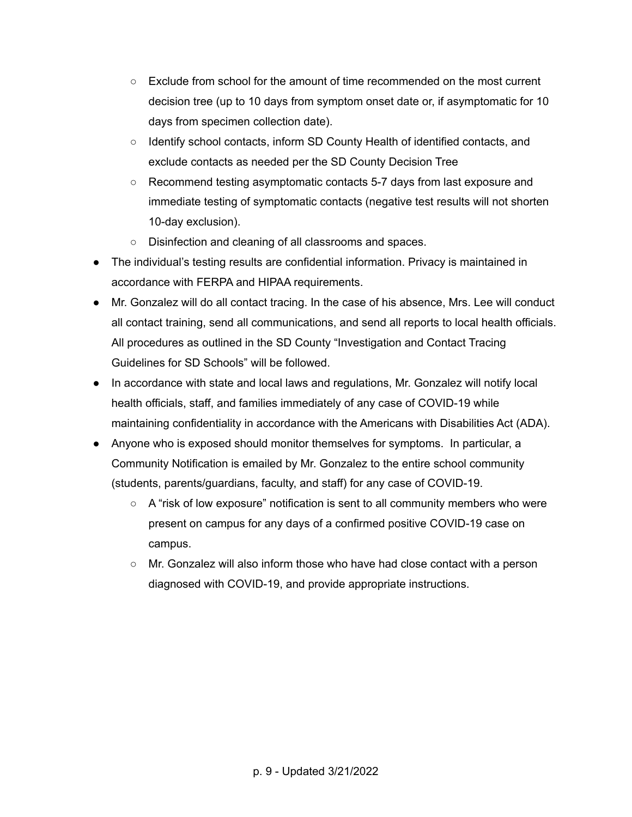- $\circ$  Exclude from school for the amount of time recommended on the most current decision tree (up to 10 days from symptom onset date or, if asymptomatic for 10 days from specimen collection date).
- Identify school contacts, inform SD County Health of identified contacts, and exclude contacts as needed per the SD County Decision Tree
- Recommend testing asymptomatic contacts 5-7 days from last exposure and immediate testing of symptomatic contacts (negative test results will not shorten 10-day exclusion).
- Disinfection and cleaning of all classrooms and spaces.
- The individual's testing results are confidential information. Privacy is maintained in accordance with FERPA and HIPAA requirements.
- Mr. Gonzalez will do all contact tracing. In the case of his absence, Mrs. Lee will conduct all contact training, send all communications, and send all reports to local health officials. All procedures as outlined in the SD County "Investigation and Contact Tracing Guidelines for SD Schools" will be followed.
- In accordance with state and local laws and regulations, Mr. Gonzalez will notify local health officials, staff, and families immediately of any case of COVID-19 while maintaining confidentiality in accordance with the Americans with Disabilities Act (ADA).
- Anyone who is exposed should monitor themselves for symptoms. In particular, a Community Notification is emailed by Mr. Gonzalez to the entire school community (students, parents/guardians, faculty, and staff) for any case of COVID-19.
	- $\circ$  A "risk of low exposure" notification is sent to all community members who were present on campus for any days of a confirmed positive COVID-19 case on campus.
	- $\circ$  Mr. Gonzalez will also inform those who have had close contact with a person diagnosed with COVID-19, and provide appropriate instructions.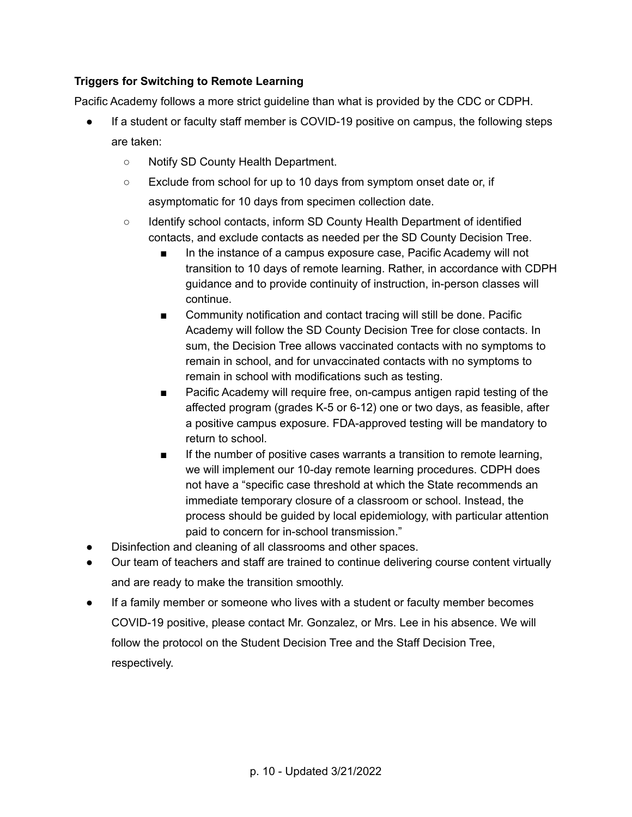# **Triggers for Switching to Remote Learning**

Pacific Academy follows a more strict guideline than what is provided by the CDC or CDPH.

- If a student or faculty staff member is COVID-19 positive on campus, the following steps are taken:
	- Notify SD County Health Department.
	- Exclude from school for up to 10 days from symptom onset date or, if asymptomatic for 10 days from specimen collection date.
	- Identify school contacts, inform SD County Health Department of identified contacts, and exclude contacts as needed per the SD County Decision Tree.
		- In the instance of a campus exposure case, Pacific Academy will not transition to 10 days of remote learning. Rather, in accordance with CDPH guidance and to provide continuity of instruction, in-person classes will continue.
		- Community notification and contact tracing will still be done. Pacific Academy will follow the SD County Decision Tree for close contacts. In sum, the Decision Tree allows vaccinated contacts with no symptoms to remain in school, and for unvaccinated contacts with no symptoms to remain in school with modifications such as testing.
		- Pacific Academy will require free, on-campus antigen rapid testing of the affected program (grades K-5 or 6-12) one or two days, as feasible, after a positive campus exposure. FDA-approved testing will be mandatory to return to school.
		- If the number of positive cases warrants a transition to remote learning, we will implement our 10-day remote learning procedures. CDPH does not have a "specific case threshold at which the State recommends an immediate temporary closure of a classroom or school. Instead, the process should be guided by local epidemiology, with particular attention paid to concern for in-school transmission."
- Disinfection and cleaning of all classrooms and other spaces.
- Our team of teachers and staff are trained to continue delivering course content virtually and are ready to make the transition smoothly.
- If a family member or someone who lives with a student or faculty member becomes COVID-19 positive, please contact Mr. Gonzalez, or Mrs. Lee in his absence. We will follow the protocol on the Student Decision Tree and the Staff Decision Tree, respectively.